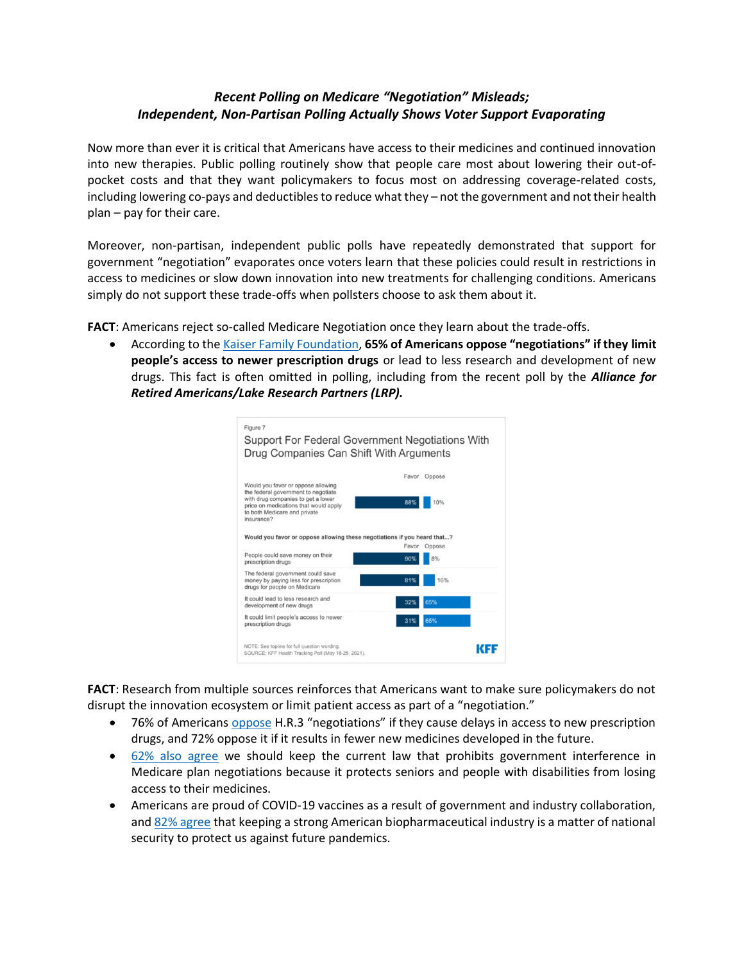## *Recent Polling on Medicare "Negotiation" Misleads; Independent, Non-Partisan Polling Actually Shows Voter Support Evaporating*

Now more than ever it is critical that Americans have access to their medicines and continued innovation into new therapies. Public polling routinely show that people care most about lowering their out-ofpocket costs and that they want policymakers to focus most on addressing coverage-related costs, including lowering co-pays and deductibles to reduce what they – not the government and not their health plan – pay for their care.

Moreover, non-partisan, independent public polls have repeatedly demonstrated that support for government "negotiation" evaporates once voters learn that these policies could result in restrictions in access to medicines or slow down innovation into new treatments for challenging conditions. Americans simply do not support these trade-offs when pollsters choose to ask them about it.

**FACT**: Americans reject so-called Medicare Negotiation once they learn about the trade-offs.

• According to th[e Kaiser Family Foundation,](https://www.kff.org/health-costs/poll-finding/kff-health-tracking-poll-may-2021/) **65% of Americans oppose "negotiations" if they limit people's access to newer prescription drugs** or lead to less research and development of new drugs. This fact is often omitted in polling, including from the recent poll by the *Alliance for Retired Americans/Lake Research Partners (LRP).* 



**FACT**: Research from multiple sources reinforces that Americans want to make sure policymakers do not disrupt the innovation ecosystem or limit patient access as part of a "negotiation."

- 76% of Americans [oppose](https://cfif.org/v/images/pdfs/CFIF-2021-Key-Highlights-Memo.pdf) H.R.3 "negotiations" if they cause delays in access to new prescription drugs, and 72% oppose it if it results in fewer new medicines developed in the future.
- [62% also agree](https://phrma.org/-/media/Project/PhRMA/PhRMA-Org/PhRMA-Org/PDF/J-L/July-Polling-Data.pdf) we should keep the current law that prohibits government interference in Medicare plan negotiations because it protects seniors and people with disabilities from losing access to their medicines.
- Americans are proud of COVID-19 vaccines as a result of government and industry collaboration, and [82% agree](https://cfif.org/v/index.php/commentary/54-state-of-affairs/5536-new-national-survey-shows-voters-want-bipartisan-agreement-on-spending-bills-oppose-covid-19-vaccine-patent-waivers-and-reject-government-setting-prices-for-health-care) that keeping a strong American biopharmaceutical industry is a matter of national security to protect us against future pandemics.